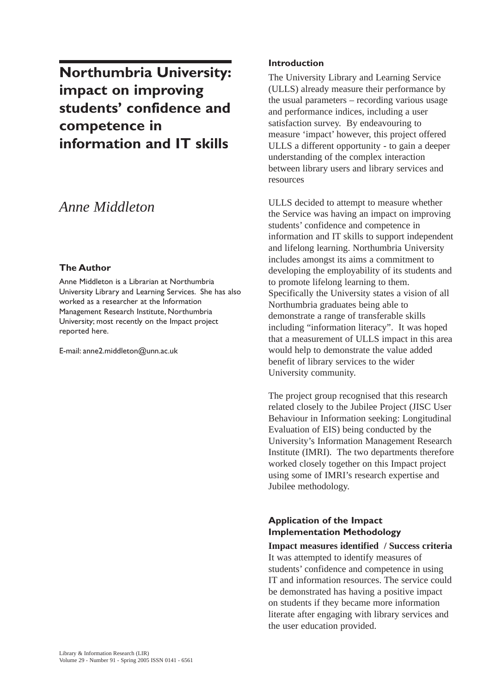**Northumbria University: impact on improving students' confidence and competence in information and IT skills** 

# *Anne Middleton*

#### **The Author**

Anne Middleton is a Librarian at Northumbria University Library and Learning Services. She has also worked as a researcher at the Information Management Research Institute, Northumbria University; most recently on the Impact project reported here.

E-mail: anne2.middleton@unn.ac.uk

### **Introduction**

The University Library and Learning Service (ULLS) already measure their performance by the usual parameters – recording various usage and performance indices, including a user satisfaction survey. By endeavouring to measure 'impact' however, this project offered ULLS a different opportunity - to gain a deeper understanding of the complex interaction between library users and library services and resources

ULLS decided to attempt to measure whether the Service was having an impact on improving students' confidence and competence in information and IT skills to support independent and lifelong learning. Northumbria University includes amongst its aims a commitment to developing the employability of its students and to promote lifelong learning to them. Specifically the University states a vision of all Northumbria graduates being able to demonstrate a range of transferable skills including "information literacy". It was hoped that a measurement of ULLS impact in this area would help to demonstrate the value added benefit of library services to the wider University community.

The project group recognised that this research related closely to the Jubilee Project (JISC User Behaviour in Information seeking: Longitudinal Evaluation of EIS) being conducted by the University's Information Management Research Institute (IMRI). The two departments therefore worked closely together on this Impact project using some of IMRI's research expertise and Jubilee methodology.

# **Application of the Impact Implementation Methodology**

**Impact measures identified / Success criteria** It was attempted to identify measures of students' confidence and competence in using IT and information resources. The service could be demonstrated has having a positive impact on students if they became more information literate after engaging with library services and the user education provided.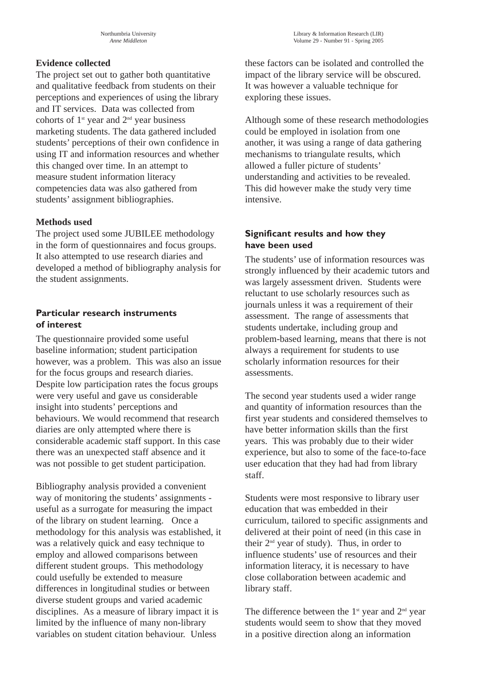# **Evidence collected**

The project set out to gather both quantitative and qualitative feedback from students on their perceptions and experiences of using the library and IT services. Data was collected from cohorts of  $1^{st}$  year and  $2^{nd}$  year business marketing students. The data gathered included students' perceptions of their own confidence in using IT and information resources and whether this changed over time. In an attempt to measure student information literacy competencies data was also gathered from students' assignment bibliographies.

#### **Methods used**

The project used some JUBILEE methodology in the form of questionnaires and focus groups. It also attempted to use research diaries and developed a method of bibliography analysis for the student assignments.

## **Particular research instruments of interest**

The questionnaire provided some useful baseline information; student participation however, was a problem. This was also an issue for the focus groups and research diaries. Despite low participation rates the focus groups were very useful and gave us considerable insight into students' perceptions and behaviours. We would recommend that research diaries are only attempted where there is considerable academic staff support. In this case there was an unexpected staff absence and it was not possible to get student participation.

Bibliography analysis provided a convenient way of monitoring the students' assignments useful as a surrogate for measuring the impact of the library on student learning. Once a methodology for this analysis was established, it was a relatively quick and easy technique to employ and allowed comparisons between different student groups. This methodology could usefully be extended to measure differences in longitudinal studies or between diverse student groups and varied academic disciplines. As a measure of library impact it is limited by the influence of many non-library variables on student citation behaviour. Unless

these factors can be isolated and controlled the impact of the library service will be obscured. It was however a valuable technique for exploring these issues.

Although some of these research methodologies could be employed in isolation from one another, it was using a range of data gathering mechanisms to triangulate results, which allowed a fuller picture of students' understanding and activities to be revealed. This did however make the study very time intensive.

# **Significant results and how they have been used**

The students' use of information resources was strongly influenced by their academic tutors and was largely assessment driven. Students were reluctant to use scholarly resources such as journals unless it was a requirement of their assessment. The range of assessments that students undertake, including group and problem-based learning, means that there is not always a requirement for students to use scholarly information resources for their assessments.

The second year students used a wider range and quantity of information resources than the first year students and considered themselves to have better information skills than the first years. This was probably due to their wider experience, but also to some of the face-to-face user education that they had had from library staff.

Students were most responsive to library user education that was embedded in their curriculum, tailored to specific assignments and delivered at their point of need (in this case in their  $2<sup>nd</sup>$  year of study). Thus, in order to influence students' use of resources and their information literacy, it is necessary to have close collaboration between academic and library staff.

The difference between the  $1<sup>st</sup>$  year and  $2<sup>nd</sup>$  year students would seem to show that they moved in a positive direction along an information